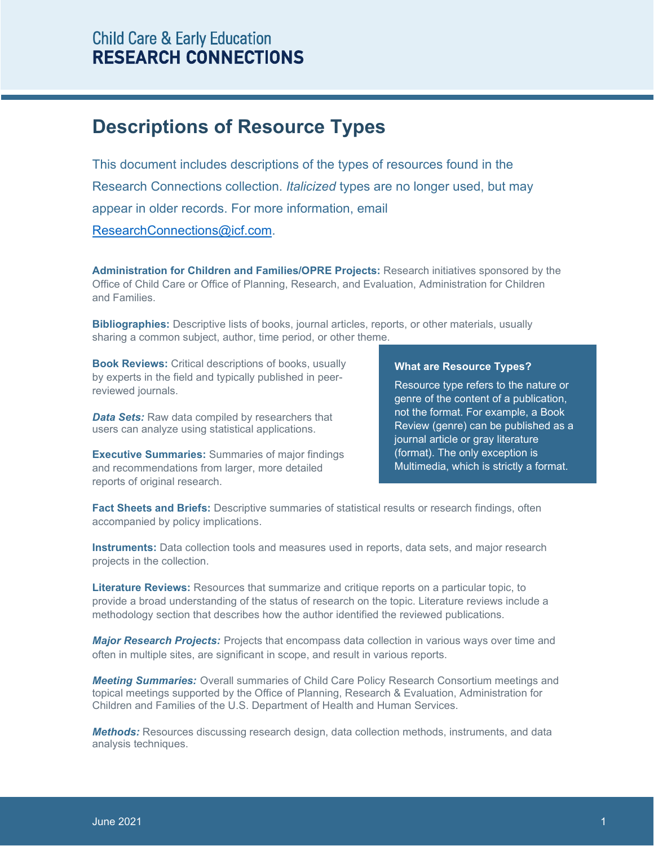## **Child Care & Early Education RESEARCH CONNECTIONS**

## **Descriptions of Resource Types**

This document includes descriptions of the types of resources found in the Research Connections collection. *Italicized* types are no longer used, but may appear in older records. For more information, email [ResearchConnections@icf.com.](mailto:contact@researchconnections.org)

**Administration for Children and Families/OPRE Projects:** Research initiatives sponsored by the Office of Child Care or Office of Planning, Research, and Evaluation, Administration for Children and Families.

**Bibliographies:** Descriptive lists of books, journal articles, reports, or other materials, usually sharing a common subject, author, time period, or other theme.

**Book Reviews:** Critical descriptions of books, usually by experts in the field and typically published in peerreviewed journals.

*Data Sets:* Raw data compiled by researchers that users can analyze using statistical applications.

**Executive Summaries:** Summaries of major findings and recommendations from larger, more detailed reports of original research.

## **What are Resource Types?**

Resource type refers to the nature or genre of the content of a publication, not the format. For example, a Book Review (genre) can be published as a journal article or gray literature (format). The only exception is Multimedia, which is strictly a format.

**Fact Sheets and Briefs:** Descriptive summaries of statistical results or research findings, often accompanied by policy implications.

**Instruments:** Data collection tools and measures used in reports, data sets, and major research projects in the collection.

**Literature Reviews:** Resources that summarize and critique reports on a particular topic, to provide a broad understanding of the status of research on the topic. Literature reviews include a methodology section that describes how the author identified the reviewed publications.

*Major Research Projects:* Projects that encompass data collection in various ways over time and often in multiple sites, are significant in scope, and result in various reports.

*Meeting Summaries:* Overall summaries of Child Care Policy Research Consortium meetings and topical meetings supported by the Office of Planning, Research & Evaluation, Administration for Children and Families of the U.S. Department of Health and Human Services.

*Methods:* Resources discussing research design, data collection methods, instruments, and data analysis techniques.